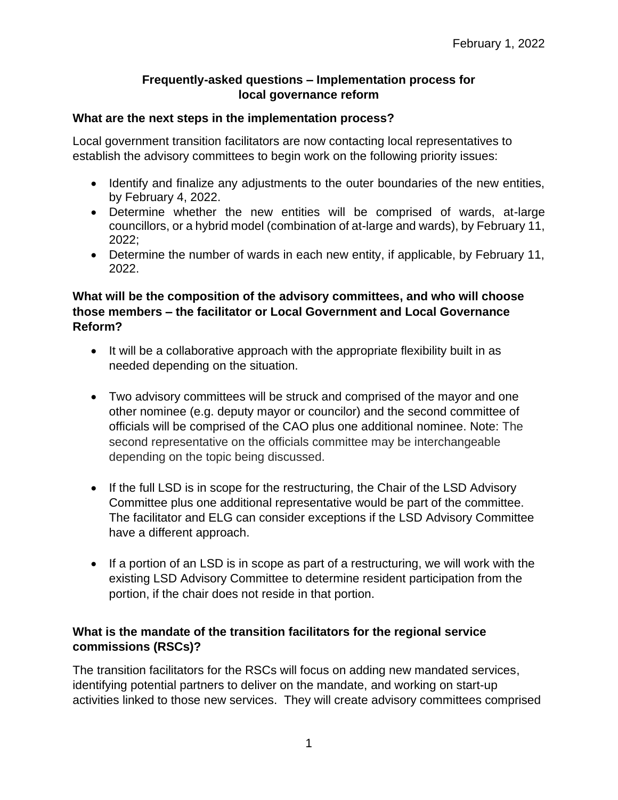## **Frequently-asked questions – Implementation process for local governance reform**

### **What are the next steps in the implementation process?**

Local government transition facilitators are now contacting local representatives to establish the advisory committees to begin work on the following priority issues:

- Identify and finalize any adjustments to the outer boundaries of the new entities, by February 4, 2022.
- Determine whether the new entities will be comprised of wards, at-large councillors, or a hybrid model (combination of at-large and wards), by February 11, 2022;
- Determine the number of wards in each new entity, if applicable, by February 11, 2022.

# **What will be the composition of the advisory committees, and who will choose those members – the facilitator or Local Government and Local Governance Reform?**

- It will be a collaborative approach with the appropriate flexibility built in as needed depending on the situation.
- Two advisory committees will be struck and comprised of the mayor and one other nominee (e.g. deputy mayor or councilor) and the second committee of officials will be comprised of the CAO plus one additional nominee. Note: The second representative on the officials committee may be interchangeable depending on the topic being discussed.
- If the full LSD is in scope for the restructuring, the Chair of the LSD Advisory Committee plus one additional representative would be part of the committee. The facilitator and ELG can consider exceptions if the LSD Advisory Committee have a different approach.
- If a portion of an LSD is in scope as part of a restructuring, we will work with the existing LSD Advisory Committee to determine resident participation from the portion, if the chair does not reside in that portion.

### **What is the mandate of the transition facilitators for the regional service commissions (RSCs)?**

The transition facilitators for the RSCs will focus on adding new mandated services, identifying potential partners to deliver on the mandate, and working on start-up activities linked to those new services. They will create advisory committees comprised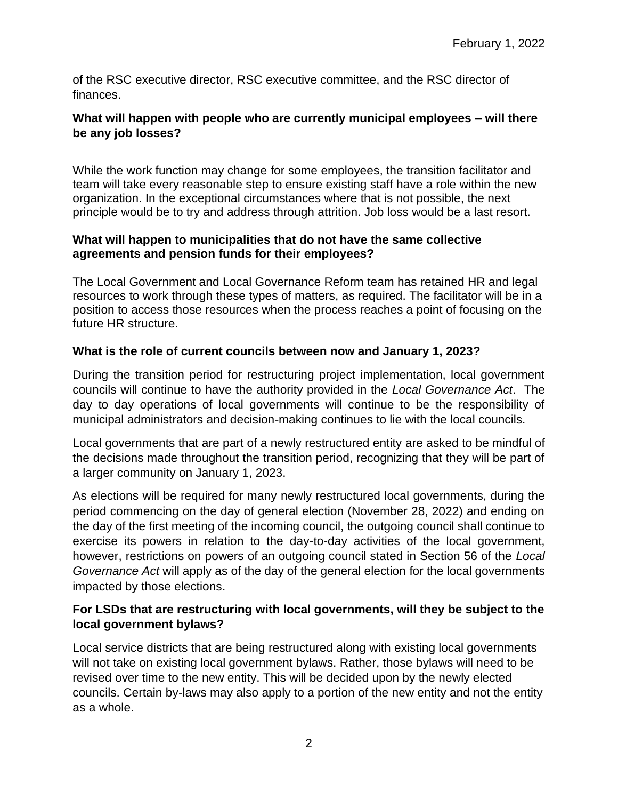of the RSC executive director, RSC executive committee, and the RSC director of finances.

# **What will happen with people who are currently municipal employees – will there be any job losses?**

While the work function may change for some employees, the transition facilitator and team will take every reasonable step to ensure existing staff have a role within the new organization. In the exceptional circumstances where that is not possible, the next principle would be to try and address through attrition. Job loss would be a last resort.

## **What will happen to municipalities that do not have the same collective agreements and pension funds for their employees?**

The Local Government and Local Governance Reform team has retained HR and legal resources to work through these types of matters, as required. The facilitator will be in a position to access those resources when the process reaches a point of focusing on the future HR structure.

# **What is the role of current councils between now and January 1, 2023?**

During the transition period for restructuring project implementation, local government councils will continue to have the authority provided in the *Local Governance Act*. The day to day operations of local governments will continue to be the responsibility of municipal administrators and decision-making continues to lie with the local councils.

Local governments that are part of a newly restructured entity are asked to be mindful of the decisions made throughout the transition period, recognizing that they will be part of a larger community on January 1, 2023.

As elections will be required for many newly restructured local governments, during the period commencing on the day of general election (November 28, 2022) and ending on the day of the first meeting of the incoming council, the outgoing council shall continue to exercise its powers in relation to the day-to-day activities of the local government, however, restrictions on powers of an outgoing council stated in Section 56 of the *Local Governance Act* will apply as of the day of the general election for the local governments impacted by those elections.

# **For LSDs that are restructuring with local governments, will they be subject to the local government bylaws?**

Local service districts that are being restructured along with existing local governments will not take on existing local government bylaws. Rather, those bylaws will need to be revised over time to the new entity. This will be decided upon by the newly elected councils. Certain by-laws may also apply to a portion of the new entity and not the entity as a whole.